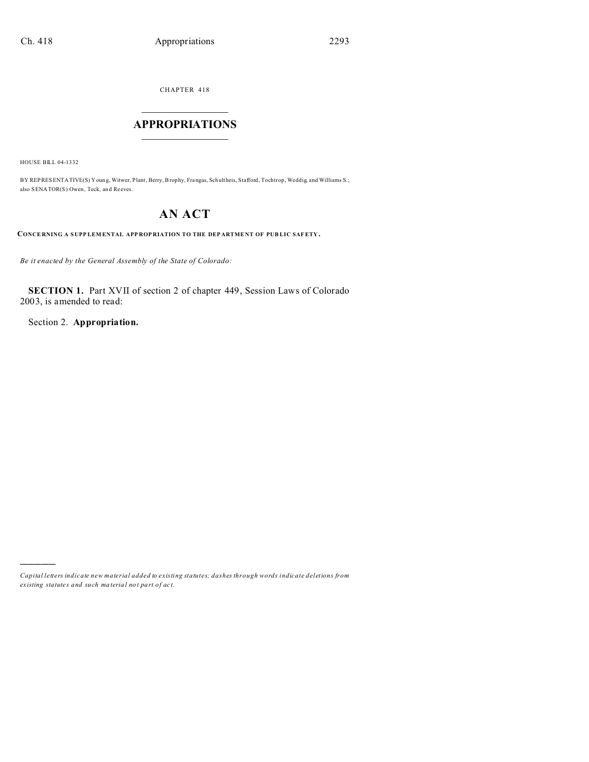CHAPTER 418  $\overline{\phantom{a}}$  , where  $\overline{\phantom{a}}$ 

## **APPROPRIATIONS**  $\_$   $\_$   $\_$   $\_$   $\_$   $\_$   $\_$   $\_$

HOUSE BILL 04-1332

)))))

BY REPRESENTATIVE(S) Young, Witwer, Plant, Berry, Brophy, Frangas, Schultheis, Stafford, Tochtrop, Weddig, and Williams S.; also SENATOR(S) Owen, Teck, an d Reeves.

# **AN ACT**

**CONCE RNING A S UPP LEM ENTAL APP ROP RIATION TO THE DEP ARTME NT OF PUB LIC SAFETY.**

*Be it enacted by the General Assembly of the State of Colorado:*

**SECTION 1.** Part XVII of section 2 of chapter 449, Session Laws of Colorado 2003, is amended to read:

Section 2. **Appropriation.**

*Capital letters indicate new material added to existing statutes; dashes through words indicate deletions from ex isting statute s and such ma teria l no t pa rt of ac t.*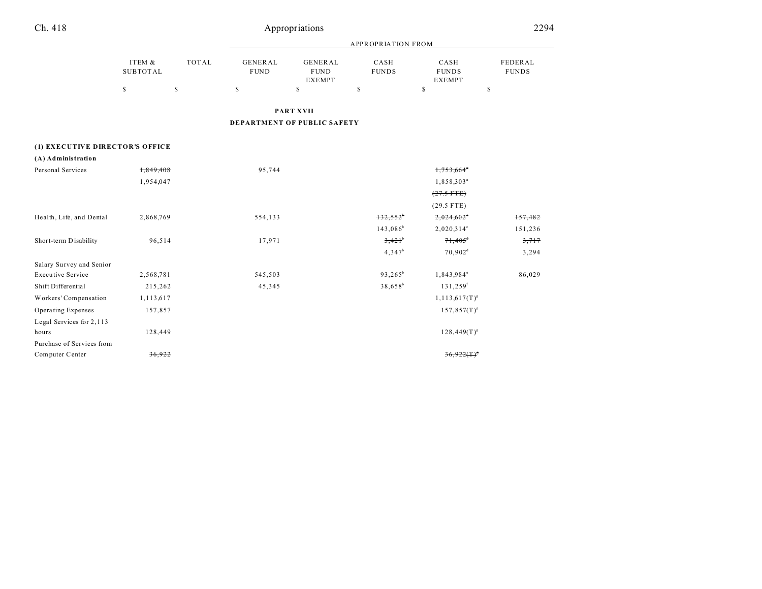| Ch. 418 | Appropriations | 2294<br>--<br>$\sim$ |
|---------|----------------|----------------------|
|         |                |                      |

|                                 |                           |              |                               |                                                | <b>APPROPRIATION FROM</b> |                                       |                         |
|---------------------------------|---------------------------|--------------|-------------------------------|------------------------------------------------|---------------------------|---------------------------------------|-------------------------|
|                                 | ITEM &<br><b>SUBTOTAL</b> | <b>TOTAL</b> | <b>GENERAL</b><br><b>FUND</b> | <b>GENERAL</b><br><b>FUND</b><br><b>EXEMPT</b> | CASH<br><b>FUNDS</b>      | CASH<br><b>FUNDS</b><br><b>EXEMPT</b> | FEDERAL<br><b>FUNDS</b> |
|                                 | $\mathbb{S}$              | $\mathbb{S}$ | $\mathbb S$                   | \$                                             | \$                        | \$                                    | \$                      |
|                                 |                           |              |                               | <b>PART XVII</b>                               |                           |                                       |                         |
|                                 |                           |              |                               | DEPARTMENT OF PUBLIC SAFETY                    |                           |                                       |                         |
| (1) EXECUTIVE DIRECTOR'S OFFICE |                           |              |                               |                                                |                           |                                       |                         |
| (A) Administration              |                           |              |                               |                                                |                           |                                       |                         |
| Personal Services               | 1,849,408                 |              | 95,744                        |                                                |                           | 1,753,664                             |                         |
|                                 | 1,954,047                 |              |                               |                                                |                           | 1,858,303 <sup>ª</sup>                |                         |
|                                 |                           |              |                               |                                                |                           | $(27.5$ FTE)                          |                         |
|                                 |                           |              |                               |                                                |                           | $(29.5$ FTE)                          |                         |
| Health, Life, and Dental        | 2,868,769                 |              | 554,133                       |                                                | 132,552                   | 2,024,602                             | 157,482                 |
|                                 |                           |              |                               |                                                | $143,086^b$               | $2,020,314^{\circ}$                   | 151,236                 |
| Short-term Disability           | 96,514                    |              | 17,971                        |                                                | $3,421^{\circ}$           | $71,405$ <sup>+</sup>                 | 3,717                   |
|                                 |                           |              |                               |                                                | $4,347^b$                 | 70,902 <sup>d</sup>                   | 3,294                   |
| Salary Survey and Senior        |                           |              |                               |                                                |                           |                                       |                         |
| <b>Executive Service</b>        | 2,568,781                 |              | 545,503                       |                                                | $93,265^b$                | 1,843,984°                            | 86,029                  |
| Shift Differential              | 215,262                   |              | 45,345                        |                                                | $38,658^b$                | $131,259$ <sup>f</sup>                |                         |
| Workers' Compensation           | 1,113,617                 |              |                               |                                                |                           | $1, 113, 617$ (T) <sup>g</sup>        |                         |
| <b>Operating Expenses</b>       | 157,857                   |              |                               |                                                |                           | $157,857(T)^{s}$                      |                         |
| Legal Services for 2,113        |                           |              |                               |                                                |                           |                                       |                         |
| hours                           | 128,449                   |              |                               |                                                |                           | $128,449(T)^{s}$                      |                         |
| Purchase of Services from       |                           |              |                               |                                                |                           |                                       |                         |
| Computer Center                 | 36,922                    |              |                               |                                                |                           | 36.9                                  |                         |
|                                 |                           |              |                               |                                                |                           |                                       |                         |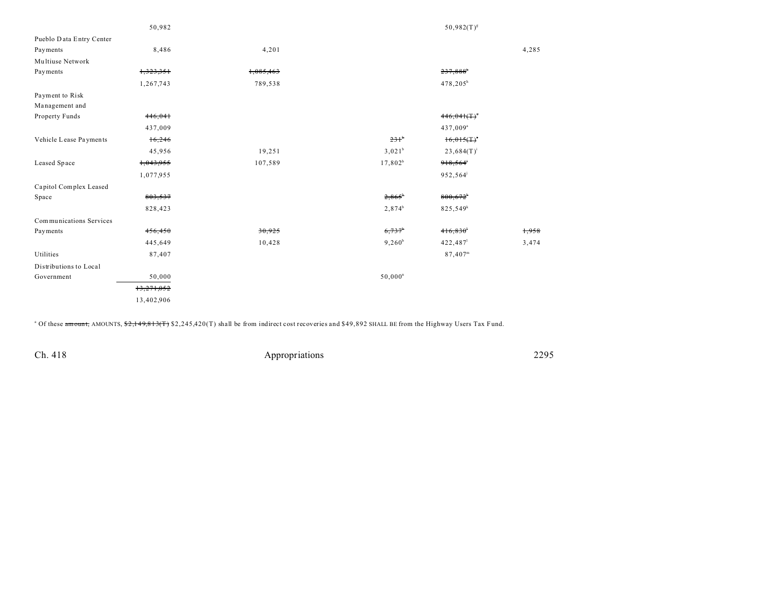|                          | 50,982     |           |                       | $50,982(T)^{g}$        |       |
|--------------------------|------------|-----------|-----------------------|------------------------|-------|
| Pueblo Data Entry Center |            |           |                       |                        |       |
| Payments                 | 8,486      | 4,201     |                       |                        | 4,285 |
| Multiuse Network         |            |           |                       |                        |       |
| Payments                 | 1,323,351  | 1,085,463 |                       | 237,888                |       |
|                          | 1,267,743  | 789,538   |                       | 478,205 <sup>h</sup>   |       |
| Payment to Risk          |            |           |                       |                        |       |
| Management and           |            |           |                       |                        |       |
| Property Funds           | 446,041    |           |                       | 446.041(T)             |       |
|                          | 437,009    |           |                       | 437,009 <sup>a</sup>   |       |
| Vehicle Lease Payments   | 16,246     |           | 231 <sup>b</sup>      | 16,015(                |       |
|                          | 45,956     | 19,251    | $3,021^b$             | $23,684(T)^{i}$        |       |
| Leased Space             | 1,043,955  | 107,589   | $17,802^b$            | 918,564                |       |
|                          | 1,077,955  |           |                       | 952,564 <sup>j</sup>   |       |
| Capitol Complex Leased   |            |           |                       |                        |       |
| Space                    | 803,537    |           | $2,865^{\circ}$       | $800,672$ <sup>*</sup> |       |
|                          | 828,423    |           | $2,874^b$             | 825,549 <sup>k</sup>   |       |
| Communications Services  |            |           |                       |                        |       |
| Payments                 | 456,450    | 30,925    | $6,737$ <sup>b</sup>  | 416,830                | 1,958 |
|                          | 445,649    | 10,428    | $9,260^{\rm b}$       | 422,487                | 3,474 |
| Utilities                | 87,407     |           |                       | $87,407^{\rm m}$       |       |
| Distributions to Local   |            |           |                       |                        |       |
| Government               | 50,000     |           | $50,000$ <sup>n</sup> |                        |       |
|                          | 13,271,052 |           |                       |                        |       |
|                          | 13,402,906 |           |                       |                        |       |
|                          |            |           |                       |                        |       |

<sup>a</sup> Of these amount, AMOUNTS, \$2,149,813(T) \$2,245,420(T) shall be from indirect cost recoveries and \$49,892 SHALL BE from the Highway Users Tax Fund.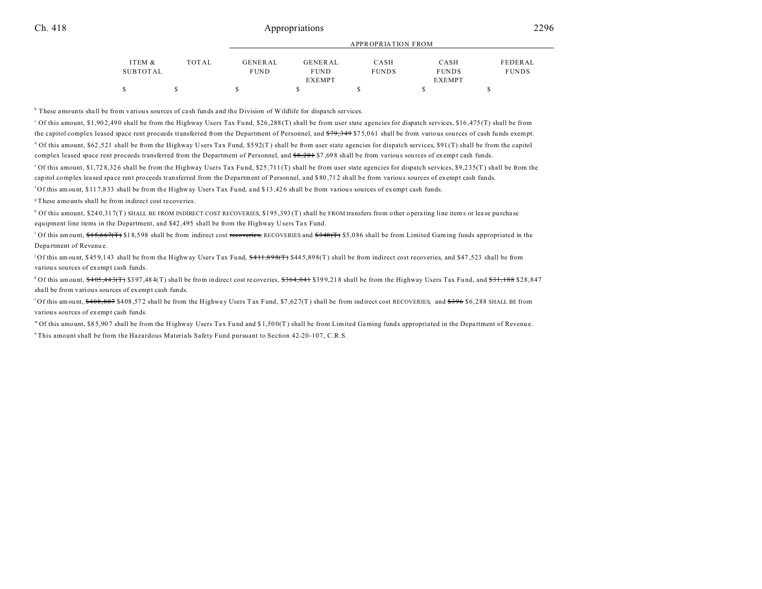## Ch. 418 **Ch.** 2296

|          |              | APPROPRIATION FROM |                |              |               |              |  |
|----------|--------------|--------------------|----------------|--------------|---------------|--------------|--|
| ITEM &   | <b>TOTAL</b> | GENERAL            | <b>GENERAL</b> | CASH         | CASH          | FEDERAL      |  |
| SUBTOTAL |              | <b>FUND</b>        | <b>FUND</b>    | <b>FUNDS</b> | <b>FUNDS</b>  | <b>FUNDS</b> |  |
|          |              |                    | <b>EXEMPT</b>  |              | <b>EXEMPT</b> |              |  |
|          |              |                    |                |              |               |              |  |

<sup>b</sup> These amounts shall be from various sources of cash funds and the Division of Wildlife for dispatch services.

Of this amount, \$1,902,490 shall be from the Highway Users Tax Fund, \$26,288(T) shall be from user state agencies for dispatch services, \$16,475(T) shall be from the capitol complex leased space rent proceeds transferred from the Department of Personnel, and \$79,349 \$75,061 shall be from various sources of cash funds exempt. d Of this amount, \$62,521 shall be from the Highway Users Tax Fund, \$592(T) shall be from user state agencies for dispatch services, \$91(T) shall be from the capitol complex leased space rent proceeds transferred from the Department of Personnel, and \$8,201 \$7,698 shall be from various sources of exempt cash funds. <sup>o</sup>Of this amount, \$1,728,326 shall be from the Highway Users Tax Fund, \$25,711(T) shall be from user state agencies for dispatch services, \$9,235(T) shall be from the

capitol complex leased space rent proceeds transferred from the D epartment of Personnel, and \$80,712 shall be from various sources of exempt cash funds.

<sup>f</sup>Of this amount, \$11 7,8 33 shall be from the Highway Users Tax Fu nd, and \$ 13 ,42 6 shall be from variou s sources of exempt cash funds.

<sup>8</sup>These amounts shall be from indirect cost recoveries.

h Of this amount, \$24 0,31 7(T) SHALL BE FROM INDIRECT COST RECOVERIES, \$1 95 ,393 (T) shall be FROM transfers from other opera ting line items or lea se purcha se equipment line items in the Department, and \$42,495 shall be from the Highway Users Tax Fund.

<sup>1</sup> Of this amount, \$15,667(T) \$18,598 shall be from indirect cost recoveries, RECOVERIES and \$348(T) \$5,086 shall be from Limited Gaming funds appropriated in the Depa rtment of Revenu e.

<sup>j</sup> Of this amount, \$459,143 shall be from the Highway Users Tax Fund,  $\frac{6411,898(T)}{T}$ \$445,898(T) shall be from indirect cost recoveries, and \$47,523 shall be from variou s sources of exempt cash funds.

 $k$  of this amount,  $405,443$ ( $\text{m/s}$ )  $397,484$ (T) shall be from indirect cost recoveries,  $3364,041$  \$399,218 shall be from the Highway Users Tax Fund, and  $331,188$  \$28,847 shall be from various sources of exempt cash funds.

<sup>1</sup>Of this amount,  $\frac{408,807}{100}$  \$408,572 shall be from the Highway Users Tax Fund, \$7,627(T) shall be from indirect cost RECOVERIES, and \$396 \$6,288 SHALL BE from variou s sources of exempt cash funds.

<sup>m</sup> Of this amount, \$85,907 shall be from the Highway Users Tax Fund and \$1,500(T) shall be from Limited Gaming funds appropriated in the Department of Revenue.

<sup>n</sup>This amount shall be from the Hazardous Materials Safety Fund pursuant to Section 42-20-107, C.R.S.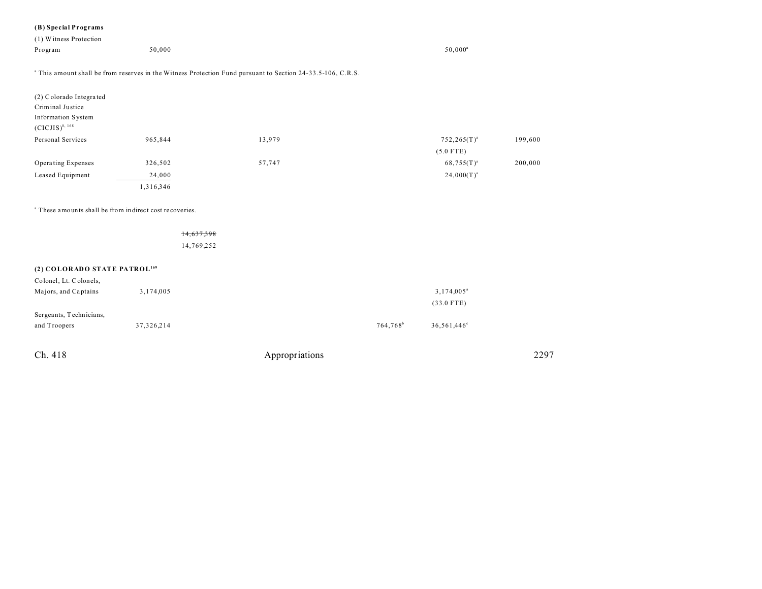## **(B) Special Programs**

| $(D)$ operations and                                               |            |                                                                                                                        |                  |         |
|--------------------------------------------------------------------|------------|------------------------------------------------------------------------------------------------------------------------|------------------|---------|
| (1) Witness Protection                                             |            |                                                                                                                        |                  |         |
| Program                                                            | 50,000     |                                                                                                                        | $50,000^a$       |         |
|                                                                    |            |                                                                                                                        |                  |         |
|                                                                    |            | <sup>a</sup> This amount shall be from reserves in the Witness Protection Fund pursuant to Section 24-33.5-106, C.R.S. |                  |         |
|                                                                    |            |                                                                                                                        |                  |         |
| (2) Colorado Integrated                                            |            |                                                                                                                        |                  |         |
| Criminal Justice                                                   |            |                                                                                                                        |                  |         |
| Information System                                                 |            |                                                                                                                        |                  |         |
| $(CICJIS)^{8, 168}$                                                |            |                                                                                                                        |                  |         |
| Personal Services                                                  | 965,844    | 13,979                                                                                                                 | $752,265(T)^{a}$ | 199,600 |
|                                                                    |            |                                                                                                                        | $(5.0$ FTE)      |         |
| Operating Expenses                                                 | 326,502    | 57,747                                                                                                                 | $68,755(T)^{a}$  | 200,000 |
| Leased Equipment                                                   | 24,000     |                                                                                                                        | $24,000(T)^{a}$  |         |
|                                                                    | 1,316,346  |                                                                                                                        |                  |         |
|                                                                    |            |                                                                                                                        |                  |         |
| <sup>a</sup> These amounts shall be from indirect cost recoveries. |            |                                                                                                                        |                  |         |
|                                                                    |            |                                                                                                                        |                  |         |
|                                                                    | 14,037,398 |                                                                                                                        |                  |         |

14,769,252

## **(2) COLORADO STATE PATROL<sup>169</sup>**

| Colonel, Lt. Colonels,  |              |                      |                     |
|-------------------------|--------------|----------------------|---------------------|
| Majors, and Captains    | 3,174,005    |                      | $3,174,005^{\circ}$ |
|                         |              |                      | $(33.0$ FTE)        |
| Sergeants, Technicians, |              |                      |                     |
| and Troopers            | 37, 326, 214 | 764.768 <sup>b</sup> | 36,561,446°         |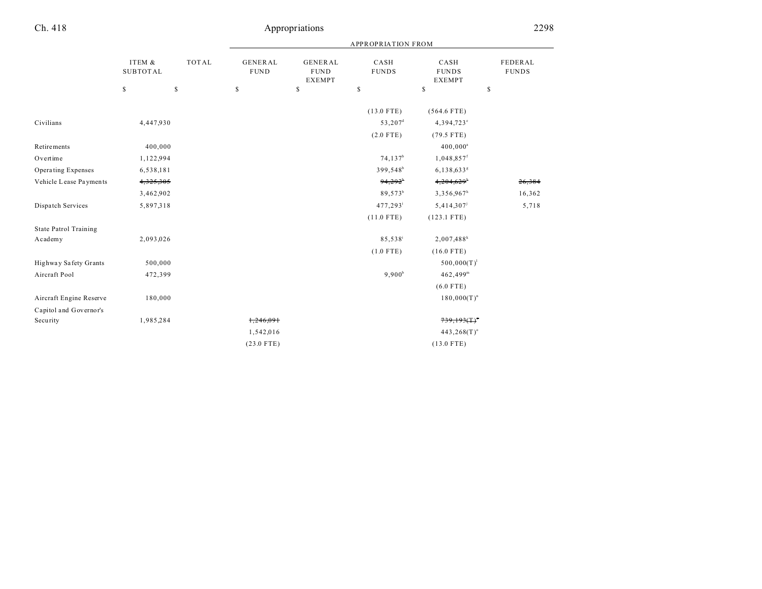|                              |                           |              | <b>APPROPRIATION FROM</b>     |                                                |                      |                                       |                         |  |
|------------------------------|---------------------------|--------------|-------------------------------|------------------------------------------------|----------------------|---------------------------------------|-------------------------|--|
|                              | ITEM &<br><b>SUBTOTAL</b> | <b>TOTAL</b> | <b>GENERAL</b><br><b>FUND</b> | <b>GENERAL</b><br><b>FUND</b><br><b>EXEMPT</b> | CASH<br><b>FUNDS</b> | CASH<br><b>FUNDS</b><br><b>EXEMPT</b> | FEDERAL<br><b>FUNDS</b> |  |
|                              | $\mathbb{S}$              | $\mathbb{S}$ | \$                            | \$                                             | \$                   | \$                                    | \$                      |  |
|                              |                           |              |                               |                                                | $(13.0$ FTE)         | $(564.6$ FTE)                         |                         |  |
| Civilians                    | 4,447,930                 |              |                               |                                                | 53,207 <sup>d</sup>  | 4,394,723°                            |                         |  |
|                              |                           |              |                               |                                                | $(2.0$ FTE)          | $(79.5$ FTE)                          |                         |  |
| Retirements                  | 400,000                   |              |                               |                                                |                      | $400,000^a$                           |                         |  |
| Overtime                     | 1,122,994                 |              |                               |                                                | 74, 137 <sup>b</sup> | $1,048,857$ <sup>f</sup>              |                         |  |
| Operating Expenses           | 6,538,181                 |              |                               |                                                | 399,548 <sup>b</sup> | 6,138,633 <sup>s</sup>                |                         |  |
| Vehicle Lease Payments       | 4,325,305                 |              |                               |                                                | $94,292^{\circ}$     | $4,204,629$ <sup>*</sup>              | 26,384                  |  |
|                              | 3,462,902                 |              |                               |                                                | 89,573 <sup>b</sup>  | 3,356,967h                            | 16,362                  |  |
| Dispatch Services            | 5,897,318                 |              |                               |                                                | 477, 293             | 5,414,307                             | 5,718                   |  |
|                              |                           |              |                               |                                                | $(11.0$ FTE)         | $(123.1$ FTE)                         |                         |  |
| <b>State Patrol Training</b> |                           |              |                               |                                                |                      |                                       |                         |  |
| Academy                      | 2,093,026                 |              |                               |                                                | 85,538 <sup>i</sup>  | $2,007,488$ <sup>k</sup>              |                         |  |
|                              |                           |              |                               |                                                | $(1.0$ FTE)          | $(16.0$ FTE)                          |                         |  |
| Highway Safety Grants        | 500,000                   |              |                               |                                                |                      | $500,000(T)^1$                        |                         |  |
| Aircraft Pool                | 472,399                   |              |                               |                                                | $9,900^b$            | $462,499$ <sup>m</sup>                |                         |  |
|                              |                           |              |                               |                                                |                      | $(6.0$ FTE)                           |                         |  |
| Aircraft Engine Reserve      | 180,000                   |              |                               |                                                |                      | $180,000(T)^n$                        |                         |  |
| Capitol and Governor's       |                           |              |                               |                                                |                      |                                       |                         |  |
| Security                     | 1,985,284                 |              | 1,246,091                     |                                                |                      | 739,193(1)                            |                         |  |
|                              |                           |              | 1,542,016                     |                                                |                      | $443,268(T)$ °                        |                         |  |
|                              |                           |              | $(23.0$ FTE)                  |                                                |                      | $(13.0$ FTE)                          |                         |  |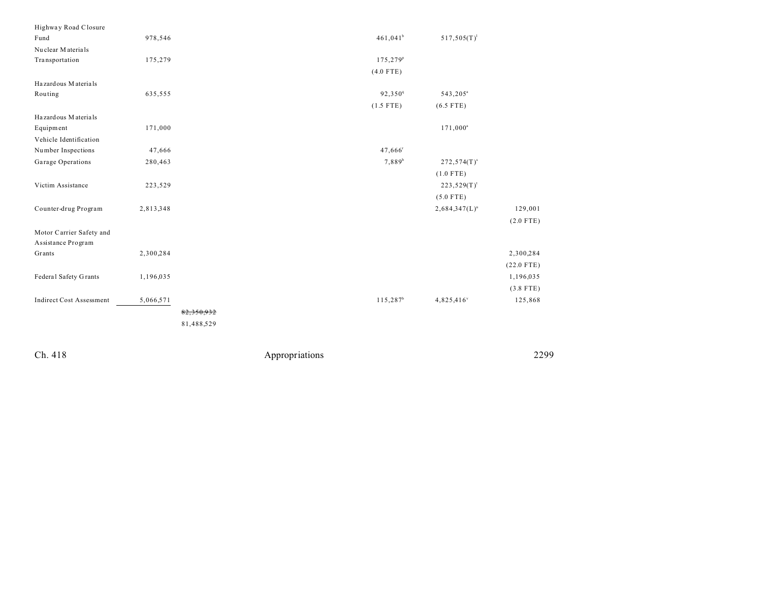| Highway Road Closure            |           |            |                      |                      |              |
|---------------------------------|-----------|------------|----------------------|----------------------|--------------|
| Fund                            | 978,546   |            | $461,041^b$          | $517,505(T)^1$       |              |
| Nuclear Materials               |           |            |                      |                      |              |
| Transportation                  | 175,279   |            | 175,279 <sup>P</sup> |                      |              |
|                                 |           |            | $(4.0$ FTE)          |                      |              |
| Hazardous Materials             |           |            |                      |                      |              |
| Routing                         | 635,555   |            | 92,350 <sup>q</sup>  | 543,205 <sup>a</sup> |              |
|                                 |           |            | $(1.5$ FTE)          | $(6.5$ FTE)          |              |
| Hazardous Materials             |           |            |                      |                      |              |
| Equipment                       | 171,000   |            |                      | $171,000^a$          |              |
| Vehicle Identification          |           |            |                      |                      |              |
| Number Inspections              | 47,666    |            | 47,666 <sup>r</sup>  |                      |              |
| Garage Operations               | 280,463   |            | 7,889 <sup>b</sup>   | $272,574(T)^s$       |              |
|                                 |           |            |                      | $(1.0$ FTE)          |              |
| Victim Assistance               | 223,529   |            |                      | $223,529(T)^t$       |              |
|                                 |           |            |                      | $(5.0$ FTE)          |              |
| Counter-drug Program            | 2,813,348 |            |                      | $2,684,347(L)^u$     | 129,001      |
|                                 |           |            |                      |                      | $(2.0$ FTE)  |
| Motor Carrier Safety and        |           |            |                      |                      |              |
| Assistance Program              |           |            |                      |                      |              |
| Grants                          | 2,300,284 |            |                      |                      | 2,300,284    |
|                                 |           |            |                      |                      | $(22.0$ FTE) |
| Federal Safety Grants           | 1,196,035 |            |                      |                      | 1,196,035    |
|                                 |           |            |                      |                      | $(3.8$ FTE)  |
| <b>Indirect Cost Assessment</b> | 5,066,571 |            | 115,287 <sup>b</sup> | 4,825,416 $v$        | 125,868      |
|                                 |           | 82,350,932 |                      |                      |              |
|                                 |           | 81,488,529 |                      |                      |              |
|                                 |           |            |                      |                      |              |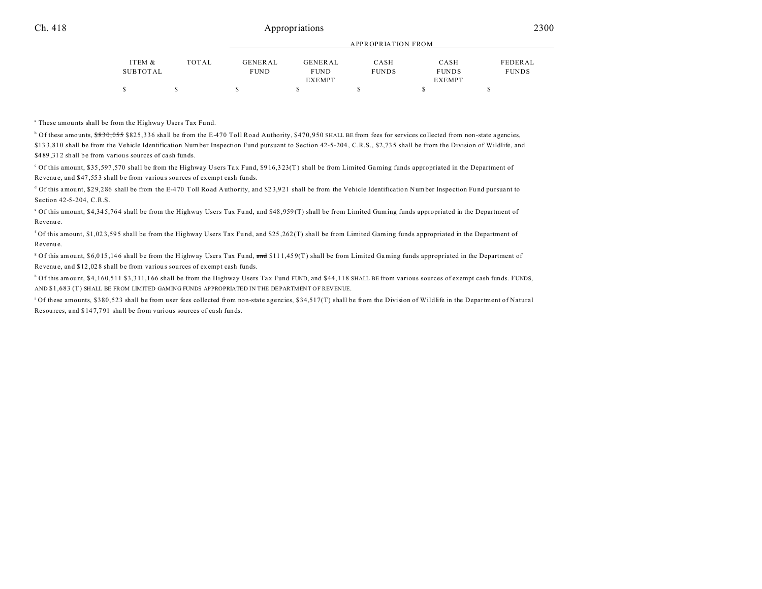## Ch. 418 2300

|          |              |                | APPROPRIATION FROM |              |               |              |  |  |
|----------|--------------|----------------|--------------------|--------------|---------------|--------------|--|--|
| ITEM &   | <b>TOTAL</b> | <b>GENERAL</b> | <b>GENERAL</b>     | CASH         | CASH          | FEDERAL      |  |  |
| SUBTOTAL |              | <b>FUND</b>    | <b>FUND</b>        | <b>FUNDS</b> | <b>FUNDS</b>  | <b>FUNDS</b> |  |  |
|          |              |                | <b>EXEMPT</b>      |              | <b>EXEMPT</b> |              |  |  |
|          |              |                |                    |              |               |              |  |  |

<sup>a</sup> These amounts shall be from the Highway Users Tax Fund.

<sup>b</sup> Of these amounts, <del>\$830,055</del> \$825,336 shall be from the E-470 Toll Road Authority, \$470,950 SHALL BE from fees for services collected from non-state agencies, \$13 3,81 0 shall be from the Vehicle Identification Number Inspection Fund pursuant to Section 42-5-204 , C.R.S., \$2,73 5 shall be from the Division of Wildlife, and \$489,312 shall be from various sources of cash funds.

<sup>c</sup> Of this amount, \$35,597,570 shall be from the Highway Users Tax Fund, \$916,323(T) shall be from Limited Gaming funds appropriated in the Department of Revenu e, and \$47 ,55 3 shall be from variou s sources of exempt cash funds.

 $^d$  Of this amount, \$29,286 shall be from the E-470 Toll Road Authority, and \$23,921 shall be from the Vehicle Identification Number Inspection Fund pursuant to Section 42-5-204, C.R.S.

e Of this amount, \$4,34 5,76 4 shall be from the Highway Users Tax Fu nd, and \$48 ,959 (T) shall be from Limited Gaming funds appropriated in the Department of Revenu e.

f Of this amount, \$1,02 3,59 5 shall be from the Highway Users Tax Fu nd, and \$25 ,262 (T) shall be from Limited Gaming funds appropriated in the Department of Revenu e.

<sup>g</sup> Of this amount, \$6,015,146 shall be from the Highway Users Tax Fund, and \$111,459(T) shall be from Limited Gaming funds appropriated in the Department of Revenu e, and \$12 ,02 8 shall be from variou s sources of exempt cash funds.

<sup>h</sup> Of this amount, <del>\$4,160,511</del> \$3,311,166 shall be from the Highway Users Tax <del>Fund</del> FUND, <del>and</del> \$44,118 SHALL BE from various sources of exempt cash <del>funds.</del> FUNDS, AND \$1,683 (T) SHALL BE FROM LIMITED GAMING FUNDS APPROPRIATED IN THE DEPARTMENT OF REVENUE.

i Of these amounts, \$380,523 shall be from user fees collected from non-state agencies, \$34,517(T) shall be from the Division of Wildlife in the Department of Natural Resources, and \$ 14 7,7 91 shall be from various sources of ca sh funds.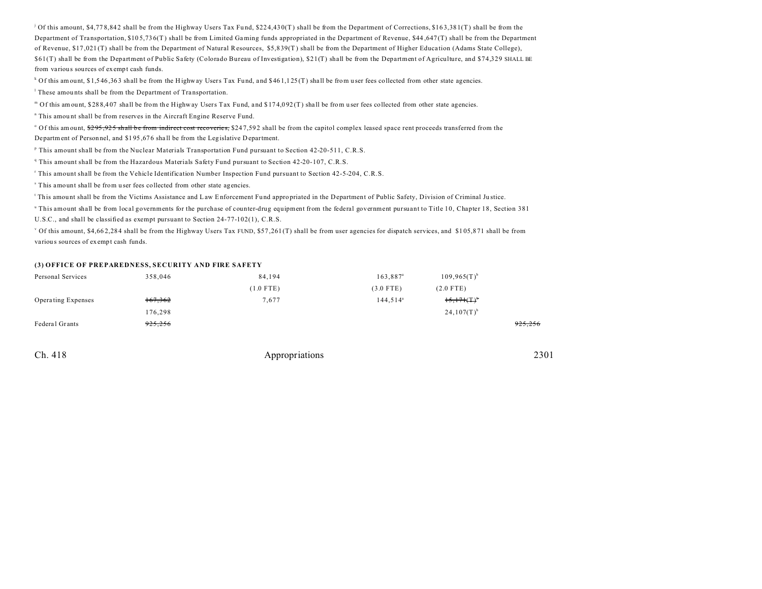j Of this amount, \$4,77 8,84 2 shall be from the Highway Users Tax Fu nd, \$22 4,43 0(T) shall be from the Department of Corrections, \$16 3,38 1(T) shall be from the Department of Tra nsportation, \$10 5,73 6(T) shall be from Limited Gaming funds appropriated in the Department of Revenue, \$44 ,647 (T) shall be from the Department of Revenue, \$17,021 (T) shall be from the Department of Natural Resources, \$5,8 39(T ) shall be from the Department of Higher Educa tion (Adams State College), \$61(T) shall be from the Department of Public Safety (Colorado Bureau of Investigation), \$21(T) shall be from the Department of Agriculture, and \$74,329 SHALL BE from various sources of exempt cash funds.

 $k$  Of this amount, \$1,546,363 shall be from the Highway Users Tax Fund, and \$461,125 (T) shall be from user fees collected from other state agencies.

<sup>1</sup> These amounts shall be from the Department of Transportation.

" Of this amount, \$288,407 shall be from the Highway Users Tax Fund, and \$174,092(T) shall be from user fees collected from other state agencies.

<sup>n</sup> This amount shall be from reserves in the Aircraft Engine Reserve Fund.

<sup>o</sup> Of this amount, \$<del>295,925 shall be from indirect cost recoveries,</del> \$247,592 shall be from the capitol complex leased space rent proceeds transferred from the Department of Personnel, and \$1 95 ,67 6 sha ll be from the Legislative D epartment.

<sup>P</sup> This amount shall be from the Nuclear Materials Transportation Fund pursuant to Section 42-20-511, C.R.S.

<sup>q</sup> This amount shall be from the Hazardous Materials Safety Fund pursuant to Section 42-20-107, C.R.S.

r This amount shall be from the Vehicle Identification Number Inspection Fund pursuant to Section 42-5-204, C.R.S.

s This amount shall be from u ser fees collected from other state agencies.

This amount shall be from the Victims Assistance and Law Enforcement Fund appropriated in the Department of Public Safety, Division of Criminal Justice.

u This amount shall be from local governments for the purchase of counter-drug equipment from the federal government pursuant to Title 10, Chapter 18, Section 381 U.S.C., and shall be classified as exempt pursuant to Section 24-77-102(1), C.R.S.

v Of this amount, \$4,66 2,28 4 shall be from the Highway Users Tax FUND, \$57 ,261 (T) shall be from user agencies for dispatch services, and \$1 05,8 71 shall be from variou s sources of exempt cash funds.

#### **(3) OFFICE OF PREPAREDNESS, SECURITY AND FIRE SAFETY**

| Personal Services  | 358,046            | 84,194      | $163,887^{\circ}$ | $109,965(T)^{b}$          |         |
|--------------------|--------------------|-------------|-------------------|---------------------------|---------|
|                    |                    | $(1.0$ FTE) | $(3.0$ FTE)       | $(2.0$ FTE)               |         |
| Operating Expenses | 167,362            | 7,677       | $144,514^a$       | $15,171($ T) <sup>b</sup> |         |
|                    | 176,298            |             |                   | $24,107(T)$ <sup>b</sup>  |         |
| Federal Grants     | <del>925,256</del> |             |                   |                           | 925,256 |

| 2301<br>Appropriations |
|------------------------|
|                        |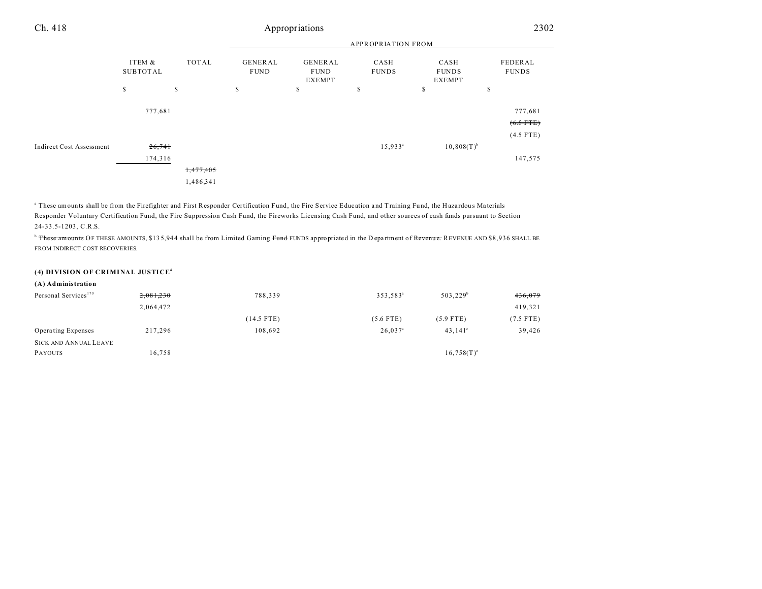#### APPROPRIATION FROM ITEM & SUBTOT AL TOT AL GENER AL FUND GENER AL FUND EXEMPT CASH FUNDS CASH FUNDS EXEMPT FEDERAL FUNDS  $\begin{array}{ccccccccccc} \texttt{S} & \texttt{S} & \texttt{S} & \texttt{S} & \texttt{S} & \texttt{S} & \texttt{S} & \texttt{S} & \texttt{S} & \texttt{S} & \texttt{S} & \texttt{S} & \texttt{S} & \texttt{S} & \texttt{S} & \texttt{S} & \texttt{S} & \texttt{S} & \texttt{S} & \texttt{S} & \texttt{S} & \texttt{S} & \texttt{S} & \texttt{S} & \texttt{S} & \texttt{S} & \texttt{S} & \texttt{S} & \texttt{S} & \texttt{S} & \$ Ch. 418 Appropriations 2302 777,681 777,681  $(6.5$  FTE) (4.5 FTE) Indirect Cost Assessment  $\frac{26,741}{26,741}$  15,933<sup>a</sup>  $10,808(T)^{b}$ 174,316 147,575 1,477,405

1,486,341

" These amounts shall be from the Firefighter and First Responder Certification Fund, the Fire Service Education and Training Fund, the Hazardous Materials Responder Voluntary Certification Fund, the Fire Suppression Cash Fund, the Fireworks Licensing Cash Fund, and other sources of cash funds pursuant to Section 24-33.5-1203, C.R.S.

<sup>b</sup> These amounts OF THESE AMOUNTS, \$13 5,944 shall be from Limited Gaming Fund FUNDS appropriated in the D epartment of Revenue. REVENUE AND \$8,936 SHALL BE FROM INDIRECT COST RECOVERIES.

## **(4) DIVISION OF CRIMINAL JUSTICE<sup>4</sup>**

| (A) Administration               |           |              |                       |                  |             |
|----------------------------------|-----------|--------------|-----------------------|------------------|-------------|
| Personal Services <sup>170</sup> | 2,081,230 | 788,339      | 353,583 <sup>ª</sup>  | $503,229^b$      | 436,079     |
|                                  | 2,064,472 |              |                       |                  | 419,321     |
|                                  |           | $(14.5$ FTE) | $(5.6$ FTE)           | $(5.9$ FTE)      | $(7.5$ FTE) |
| Operating Expenses               | 217,296   | 108,692      | $26,037$ <sup>a</sup> | $43.141^{\circ}$ | 39,426      |
| <b>SICK AND ANNUAL LEAVE</b>     |           |              |                       |                  |             |
| <b>PAYOUTS</b>                   | 16,758    |              |                       | $16,758(T)^e$    |             |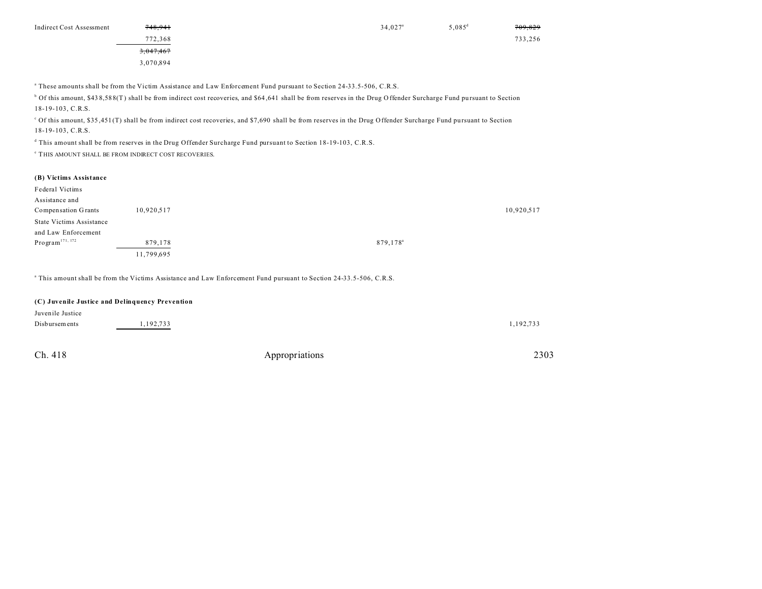| 748,941<br><b>Indirect Cost Assessment</b> | $34,027$ <sup>a</sup> | 5,085 $^{d}$ | 709,829 |
|--------------------------------------------|-----------------------|--------------|---------|
| 772,368                                    |                       |              | 733,256 |
| 3,047,467                                  |                       |              |         |
| 3,070,894                                  |                       |              |         |

a These amounts shall be from the Victim Assistance and Law Enforcement Fund pursuant to Section 24-33.5-506, C.R.S.

 $^{\text{b}}$  Of this amount, \$438,588(T) shall be from indirect cost recoveries, and \$64,641 shall be from reserves in the Drug Offender Surcharge Fund pursuant to Section 18-19-103, C.R.S.

Of this amount, \$35,451(T) shall be from indirect cost recoveries, and \$7,690 shall be from reserves in the Drug Offender Surcharge Fund pursuant to Section 18-19-103, C.R.S.

d This amount shall be from reserves in the Drug Offender Surcharge Fund pursuant to Section 18-19-103, C.R.S.

e THIS AMOUNT SHALL BE FROM INDIRECT COST RECOVERIES.

#### **(B) Victims Assistance**

| Federal Victims                 |            |                      |  |
|---------------------------------|------------|----------------------|--|
| Assistance and                  |            |                      |  |
| Compensation Grants             | 10,920,517 | 10,920,517           |  |
| <b>State Victims Assistance</b> |            |                      |  |
| and Law Enforcement             |            |                      |  |
| Program <sup>171, 172</sup>     | 879,178    | 879,178 <sup>a</sup> |  |
|                                 | 11,799,695 |                      |  |

a This amount shall be from the Victims Assistance and Law Enforcement Fund pursuant to Section 24-33.5-506, C.R.S.

## **(C) Juvenile Justice and Delinquency Prevention**

| Juvenile Justice |           |           |
|------------------|-----------|-----------|
| Disbursements    | 1,192,733 | 1,192,733 |
|                  |           |           |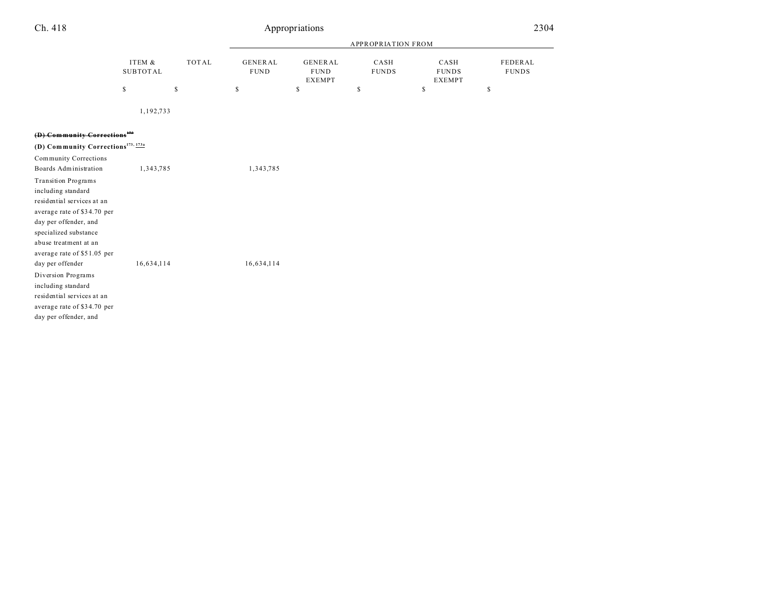| Ch. 418                                                                                                                                                                                                                                                                                                                                                                       |                           |              | Appropriations                |                                                |                           | 2304                                  |                                |
|-------------------------------------------------------------------------------------------------------------------------------------------------------------------------------------------------------------------------------------------------------------------------------------------------------------------------------------------------------------------------------|---------------------------|--------------|-------------------------------|------------------------------------------------|---------------------------|---------------------------------------|--------------------------------|
|                                                                                                                                                                                                                                                                                                                                                                               |                           |              |                               |                                                | <b>APPROPRIATION FROM</b> |                                       |                                |
|                                                                                                                                                                                                                                                                                                                                                                               | ITEM &<br><b>SUBTOTAL</b> | <b>TOTAL</b> | <b>GENERAL</b><br><b>FUND</b> | <b>GENERAL</b><br><b>FUND</b><br><b>EXEMPT</b> | CASH<br><b>FUNDS</b>      | CASH<br><b>FUNDS</b><br><b>EXEMPT</b> | <b>FEDERAL</b><br><b>FUNDS</b> |
|                                                                                                                                                                                                                                                                                                                                                                               | \$                        | $\mathbb S$  | \$                            | \$                                             | \$                        | \$                                    | \$                             |
|                                                                                                                                                                                                                                                                                                                                                                               | 1,192,733                 |              |                               |                                                |                           |                                       |                                |
| (D) Community Corrections <sup>172</sup>                                                                                                                                                                                                                                                                                                                                      |                           |              |                               |                                                |                           |                                       |                                |
| (D) Community Corrections <sup>173, 173a</sup>                                                                                                                                                                                                                                                                                                                                |                           |              |                               |                                                |                           |                                       |                                |
| <b>Community Corrections</b>                                                                                                                                                                                                                                                                                                                                                  |                           |              |                               |                                                |                           |                                       |                                |
| Boards Administration                                                                                                                                                                                                                                                                                                                                                         | 1,343,785                 |              | 1,343,785                     |                                                |                           |                                       |                                |
| <b>Transition Programs</b><br>including standard<br>residential services at an<br>average rate of \$34.70 per<br>day per offender, and<br>specialized substance<br>abuse treatment at an<br>average rate of \$51.05 per<br>day per offender<br>Diversion Programs<br>including standard<br>residential services at an<br>average rate of \$34.70 per<br>day per offender, and | 16,634,114                |              | 16,634,114                    |                                                |                           |                                       |                                |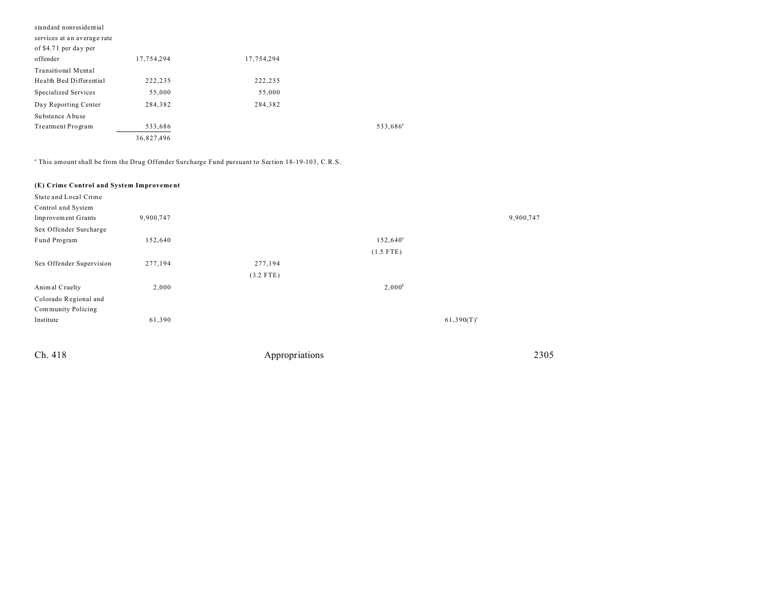| standard nonresidential     |            |            |                      |
|-----------------------------|------------|------------|----------------------|
| services at an average rate |            |            |                      |
| of \$4.71 per day per       |            |            |                      |
| offender                    | 17,754,294 | 17,754,294 |                      |
| <b>Transitional Mental</b>  |            |            |                      |
| Health Bed Differential     | 222,235    | 222,235    |                      |
| Specialized Services        | 55,000     | 55,000     |                      |
| Day Reporting Center        | 284,382    | 284,382    |                      |
| Substance Abuse             |            |            |                      |
| Treatment Program           | 533,686    |            | 533,686 <sup>a</sup> |
|                             | 36,827,496 |            |                      |

a This amount shall be from the Drug Offender Surcharge Fund pursuant to Section 18-19-103, C.R.S.

| State and Local Crime    |           |             |                      |               |
|--------------------------|-----------|-------------|----------------------|---------------|
| Control and System       |           |             |                      |               |
| Improvement Grants       | 9,900,747 |             |                      | 9,900,747     |
| Sex Offender Surcharge   |           |             |                      |               |
| Fund Program             | 152,640   |             | 152,640 <sup>a</sup> |               |
|                          |           |             | $(1.5$ FTE)          |               |
| Sex Offender Supervision | 277,194   | 277,194     |                      |               |
|                          |           | $(3.2$ FTE) |                      |               |
| Animal Cruelty           | 2,000     |             | $2,000^b$            |               |
| Colorado Regional and    |           |             |                      |               |
| Community Policing       |           |             |                      |               |
| Institute                | 61,390    |             |                      | $61,390(T)^c$ |
|                          |           |             |                      |               |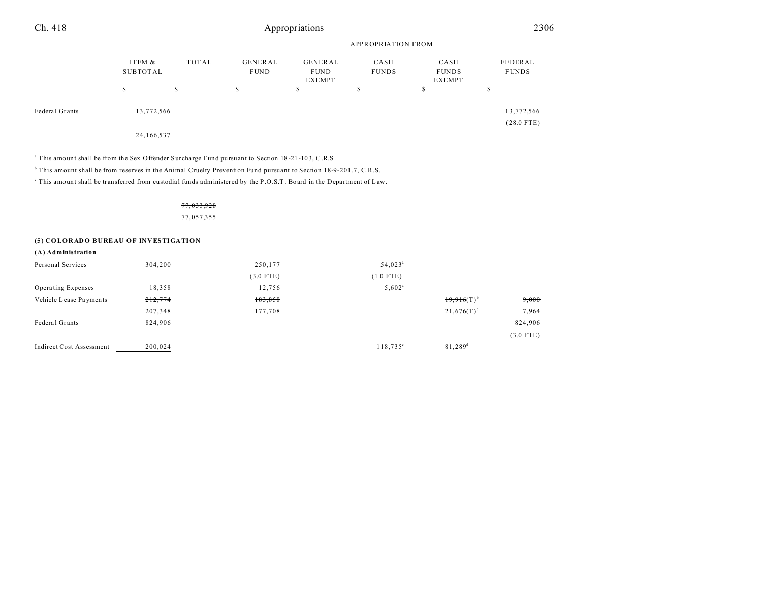| Ch. 418        |                    |       |                               | Appropriations                                 |                      |                                | 2306                       |
|----------------|--------------------|-------|-------------------------------|------------------------------------------------|----------------------|--------------------------------|----------------------------|
|                |                    |       |                               | <b>APPROPRIATION FROM</b>                      |                      |                                |                            |
|                | ITEM &<br>SUBTOTAL | TOTAL | <b>GENERAL</b><br><b>FUND</b> | <b>GENERAL</b><br><b>FUND</b><br><b>EXEMPT</b> | CASH<br><b>FUNDS</b> | CASH<br><b>FUNDS</b><br>EXEMPT | FEDERAL<br><b>FUNDS</b>    |
|                | S                  | s     | S                             | \$                                             | \$                   | \$                             | \$                         |
| Federal Grants | 13,772,566         |       |                               |                                                |                      |                                | 13,772,566<br>$(28.0$ FTE) |
|                | 24,166,537         |       |                               |                                                |                      |                                |                            |

This amount shall be from the Sex Offender Surcharge Fund pursuant to Section 18-21-103, C.R.S.

<sup>b</sup> This amount shall be from reserves in the Animal Cruelty Prevention Fund pursuant to Section 18-9-201.7, C.R.S.

This amount shall be transferred from custodial funds administered by the P.O.S.T. Board in the Department of Law.

## 77,033,928 77,057,355

### **(5) COLORADO BUREAU OF INVESTIGATION**

| (A) Administration              |         |             |                      |                          |             |
|---------------------------------|---------|-------------|----------------------|--------------------------|-------------|
| Personal Services               | 304,200 | 250,177     | 54,023 <sup>a</sup>  |                          |             |
|                                 |         | $(3.0$ FTE) | $(1.0$ FTE)          |                          |             |
| Operating Expenses              | 18,358  | 12,756      | $5,602$ <sup>a</sup> |                          |             |
| Vehicle Lease Payments          | 212,774 | 183,858     |                      | $19.916(T)^{b}$          | 9,000       |
|                                 | 207,348 | 177,708     |                      | $21,676(T)$ <sup>b</sup> | 7,964       |
| Federal Grants                  | 824,906 |             |                      |                          | 824,906     |
|                                 |         |             |                      |                          | $(3.0$ FTE) |
| <b>Indirect Cost Assessment</b> | 200,024 |             | $118,735^{\circ}$    | $81,289^{\rm d}$         |             |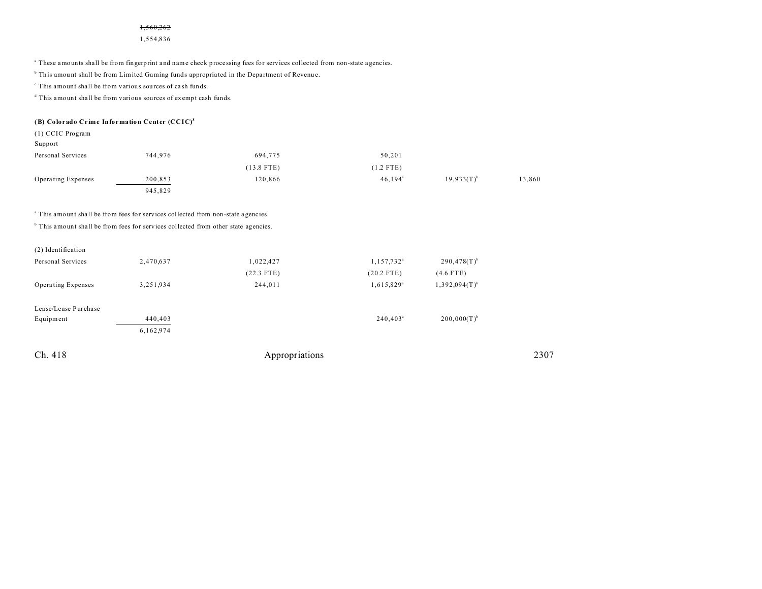#### 1,560,262

1,554,836

a These amounts shall be from fingerprint a nd name check processing fees for services collected from non-state a gencies.

<sup>b</sup> This amount shall be from Limited Gaming funds appropriated in the Department of Revenue.

c This amount shall be from various sources of ca sh funds.

d This amount shall be from various sources of exempt cash funds.

#### **(B) Colorado Crime Information Center (CCIC) 8**

(1) CCIC Program

| Support            |         |              |                  |                 |        |
|--------------------|---------|--------------|------------------|-----------------|--------|
| Personal Services  | 744,976 | 694,775      | 50,201           |                 |        |
|                    |         | $(13.8$ FTE) | $(1.2$ FTE)      |                 |        |
| Operating Expenses | 200,853 | 120,866      | $46,194^{\circ}$ | $19.933(T)^{b}$ | 13,860 |
|                    | 945,829 |              |                  |                 |        |

<sup>a</sup> This amount shall be from fees for services collected from non-state agencies.

<sup>b</sup> This amount shall be from fees for services collected from other state agencies.

| Ch. 418              |           | Appropriations |                          |                             | 2307 |
|----------------------|-----------|----------------|--------------------------|-----------------------------|------|
|                      | 6,162,974 |                |                          |                             |      |
| Equipment            | 440,403   |                | $240,403^{\circ}$        | $200,000(T)^{b}$            |      |
| Lease/Lease Purchase |           |                |                          |                             |      |
| Operating Expenses   | 3,251,934 | 244,011        | $1,615,829$ <sup>a</sup> | $1,392,094(T)$ <sup>b</sup> |      |
|                      |           | $(22.3$ FTE)   | $(20.2$ FTE)             | $(4.6$ FTE)                 |      |
| Personal Services    | 2,470,637 | 1,022,427      | 1,157,732 <sup>a</sup>   | $290,478(T)^{b}$            |      |
| (2) Identification   |           |                |                          |                             |      |
|                      |           |                |                          |                             |      |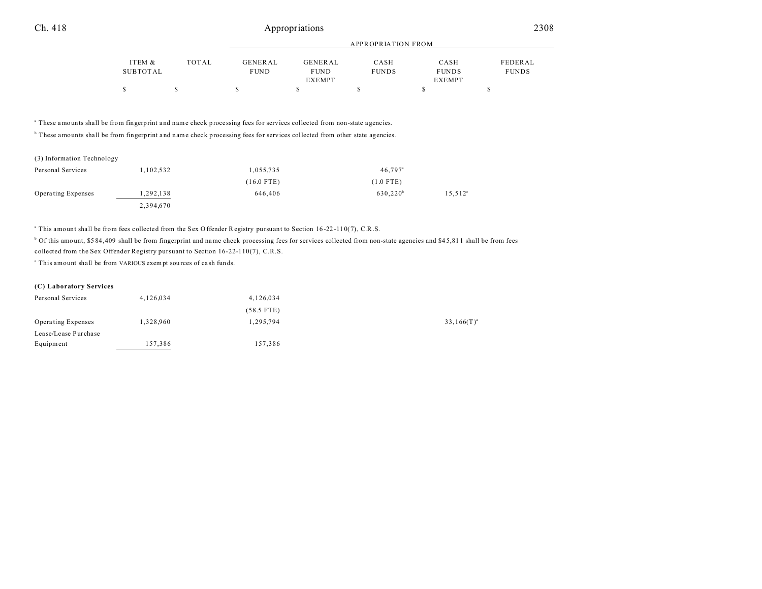## Ch. 418 Appropriations 2308

|          |       |             | APPROPRIATION FROM |              |               |              |  |
|----------|-------|-------------|--------------------|--------------|---------------|--------------|--|
| ITEM &   | TOTAL | GENERAL     | GENERAL            | CASH         | CASH          | FEDERAL      |  |
| SUBTOTAL |       | <b>FUND</b> | <b>FUND</b>        | <b>FUNDS</b> | <b>FUNDS</b>  | <b>FUNDS</b> |  |
|          |       |             | <b>EXEMPT</b>      |              | <b>EXEMPT</b> |              |  |
| S        |       |             |                    |              |               |              |  |

<sup>a</sup> These amounts shall be from fingerprint and name check processing fees for services collected from non-state agencies.

<sup>b</sup> These amounts shall be from fingerprint and name check processing fees for services collected from other state agencies.

| (3) Information Technology |           |              |                       |                  |
|----------------------------|-----------|--------------|-----------------------|------------------|
| Personal Services          | 1,102,532 | 1,055,735    | $46.797$ <sup>a</sup> |                  |
|                            |           | $(16.0$ FTE) | $(1.0$ FTE)           |                  |
| Operating Expenses         | 1,292,138 | 646,406      | 630.220 <sup>b</sup>  | $15,512^{\circ}$ |
|                            | 2,394,670 |              |                       |                  |

a This amount shall be from fees collected from the Sex Offender Registry pursuant to Section 16 -22 -11 0(7), C.R.S.

<sup>b</sup> Of this amount, \$584,409 shall be from fingerprint and name check processing fees for services collected from non-state agencies and \$45,811 shall be from fees collected from the Sex Offender Registry pursuant to Section 16-22-110(7), C.R.S.

c This amount shall be from VARIOUS exempt sou rces of ca sh funds.

### **(C) Laboratory Services**

| Personal Services         | 4,126,034 | 4,126,034    |                 |
|---------------------------|-----------|--------------|-----------------|
|                           |           | $(58.5$ FTE) |                 |
| <b>Operating Expenses</b> | 1,328,960 | 1,295,794    | $33,166(T)^{a}$ |
| Lease/Lease Purchase      |           |              |                 |
| Equipment                 | 157,386   | 157,386      |                 |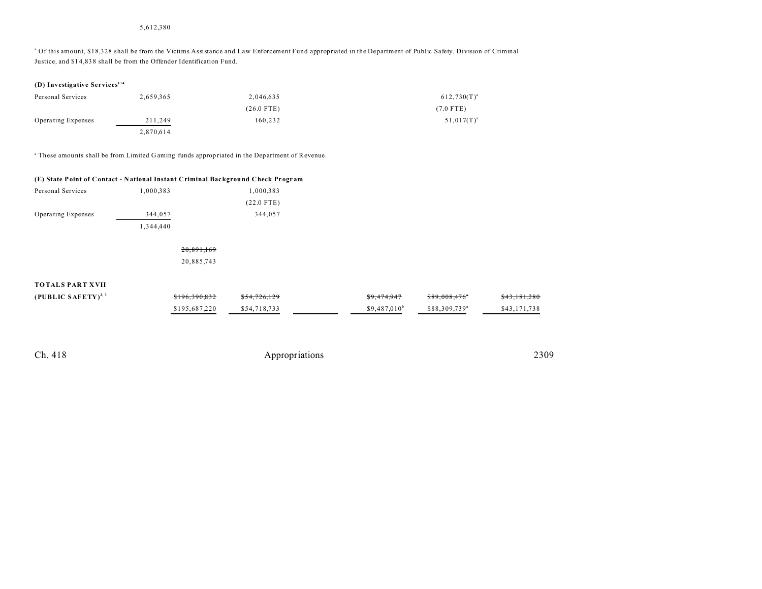## 5,612,380

a Of this amount, \$18,328 shall be from the Victims Assistance and Law Enforcement Fund appropriated in the Department of Public Safety, Division of Criminal Justice, and \$1 4,83 8 shall be from the Offender Identification Fund.

|  | (D) Investigative Services <sup>174</sup> |  |
|--|-------------------------------------------|--|
|--|-------------------------------------------|--|

| Personal Services  | 2.659.365 | 2.046.635    | $612,730(T)^{a}$ |
|--------------------|-----------|--------------|------------------|
|                    |           | $(26.0$ FTE) | $(7.0$ FTE)      |
| Operating Expenses | 211,249   | 160.232      | $51,017(T)^{a}$  |
|                    | 2,870,614 |              |                  |

a These amou nts shall be from Limited G aming funds appropriated in the Department of Revenue.

### **(E) State Point of C ontact - N ational Instant Criminal Background Check Pr ogr am**

| Personal Services         | 1.000.383 | 1.000.383    |
|---------------------------|-----------|--------------|
|                           |           | $(22.0$ FTE) |
| <b>Operating Expenses</b> | 344,057   | 344.057      |
|                           | 1.344.440 |              |

## 20,891,169 20,885,743

## **TOTALS PART XVII**

| (PUBLIC SAFETY) <sup>2, 3</sup> | \$196,390,832 | \$54,726,129 | \$9,474,947    | \$89.008.476"             | \$43,181,280 |
|---------------------------------|---------------|--------------|----------------|---------------------------|--------------|
|                                 | \$195,687,220 | \$54,718,733 | $$9.487.010^b$ | \$88,309,739 <sup>a</sup> | \$43.171.738 |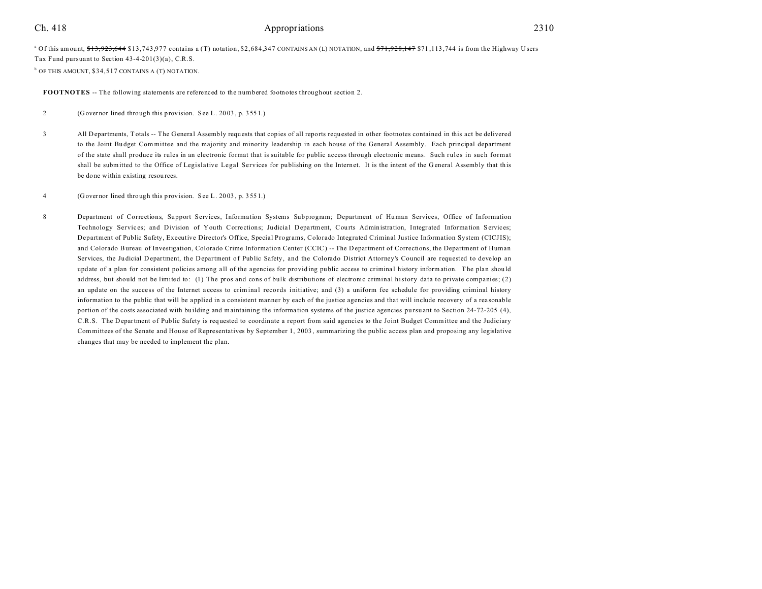## Ch. 418 2310

 $^{\circ}$  Of this amount,  $$13,923,644$  \$13,743,977 contains a (T) notation, \$2,684,347 CONTAINS AN (L) NOTATION, and  $$71,928,147$  \$71,113,744 is from the Highway Users Tax Fund pursuant to Section 43-4-201(3)(a), C.R.S.  $b$  OF THIS AMOUNT, \$34,517 CONTAINS A (T) NOTATION.

**FOOTNOTES** -- The following statements are referenced to the numbered footnotes throughout section 2.

2 (Governor lined through this provision. See L. 20 03 , p. 355 1.)

3 All Departments, T otals -- The General Assembly requ ests that copies of all reports requested in other footnotes contained in this act be delivered to the Joint Bu dget Com mittee and the majority and minority leadership in each house of the General Assembly. Each principal department of the state shall produce its rules in an electronic format that is suitable for public access through electronic means. Such rules in such format shall be submitted to the Office of Legislative Legal Services for publishing on the Internet. It is the intent of the G eneral Assembly that this be done within existing resou rces.

### 4 (Governor lined through this provision. See L. 20 03 , p. 355 1.)

8 Department of Corrections, Support Services, Information Systems Subprogram; Department of Human Services, Office of Information Technology Services; and Division of Youth Corrections; Judicial Department, Courts Administration, Integrated Information Services; Department of Public Safety, Executive Director's Office, Special Programs, Colorado Integrated Criminal Justice Information System (CICJIS); and Colorado Bureau of Investigation, Colorado Crime Information Center (CCIC) -- The D epartment of Corrections, the Department of Human Services, the Ju dicial D epartment, the Department of Public Safety, and the Colorado District Attorney's Council are requested to develop an update of a plan for consistent policies among all of the agencies for providing public access to criminal history information. The plan should address, but should not be limited to: (1) The pros and cons of bulk distributions of electronic criminal history data to private companies; (2) an update on the success of the Internet access to criminal records initiative; and (3) a uniform fee schedule for providing criminal history information to the public that will be applied in a consistent manner by each of the justice agencies and that will include recovery of a reasonable portion of the costs associated with building and maintaining the information systems of the justice agencies pursuant to Section 24-72-205 (4), C.R.S. The Department of Public Safety is requested to coordinate a report from said agencies to the Joint Budget Committee and the Judiciary Committees of the Senate and House of Representatives by September 1, 2003, summarizing the public access plan and proposing any legislative changes that may be needed to implement the plan.